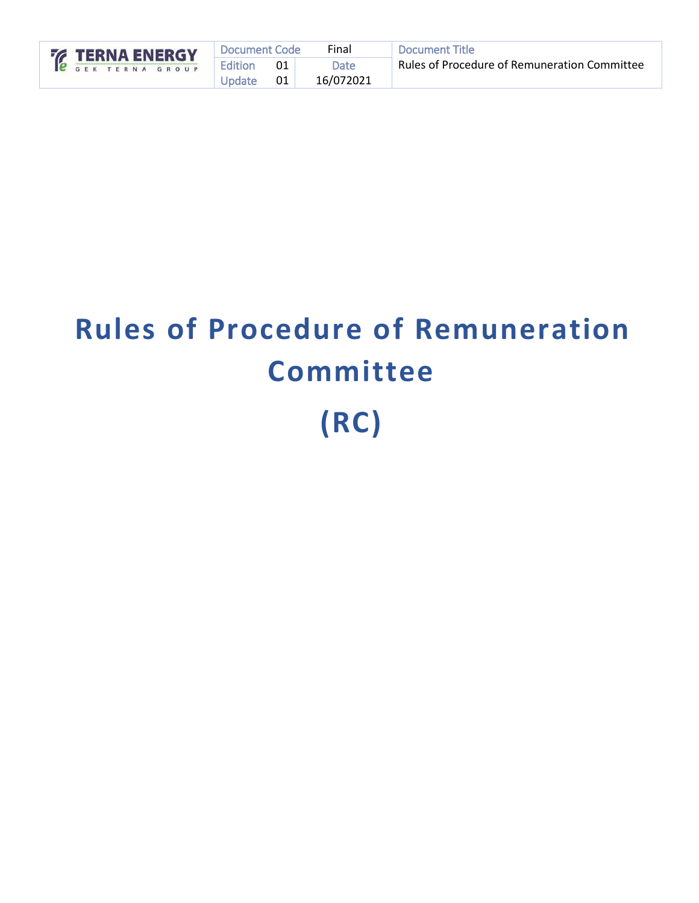| <b>EXAMPLE TERNA ENERGY</b> | Document Code |        | Final     | Document Title                               |
|-----------------------------|---------------|--------|-----------|----------------------------------------------|
| <b>C</b> GEK TERNA GROUP    | Edition       | 01     | Date      | Rules of Procedure of Remuneration Committee |
|                             | Update        | $01$ . | 16/072021 |                                              |

# **Rules of Procedure of Remuneration Committee (RC)**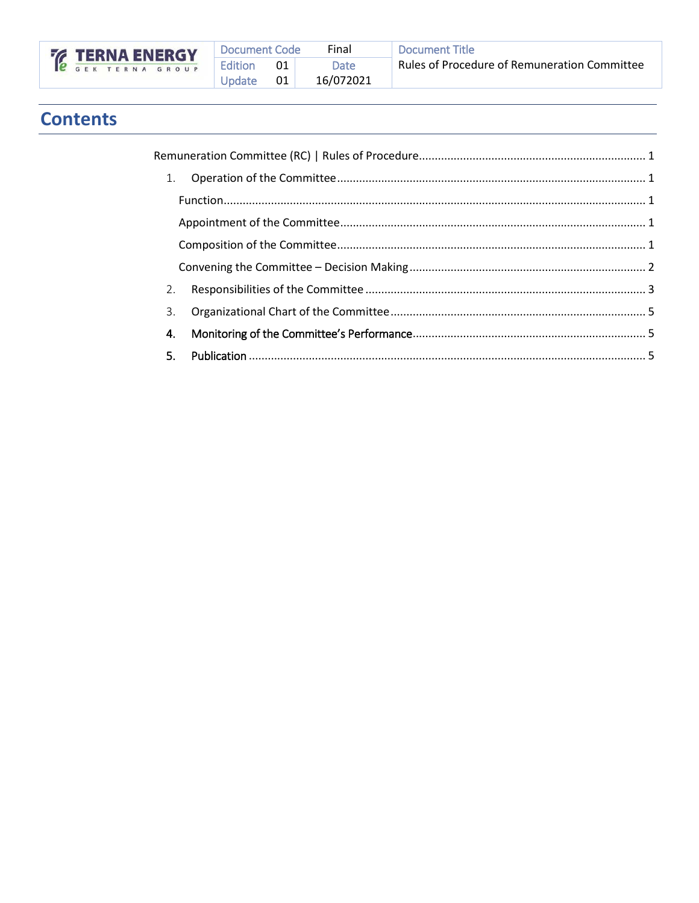

| Document Code |     | Final     | Docu  |
|---------------|-----|-----------|-------|
| Edition       | -01 | Date      | Rules |
| <b>Update</b> | 01  | 16/072021 |       |

# **Contents**

| 3. |  |
|----|--|
| 4. |  |
|    |  |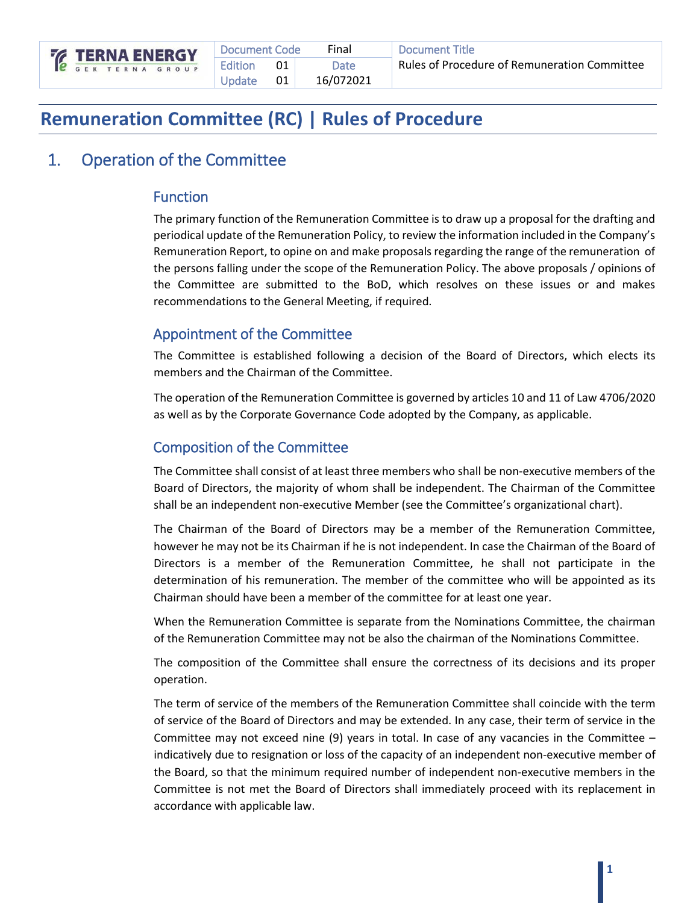

# <span id="page-2-0"></span>**Remuneration Committee (RC) | Rules of Procedure**

# <span id="page-2-1"></span>1. Operation of the Committee

#### <span id="page-2-2"></span>Function

The primary function of the Remuneration Committee is to draw up a proposal for the drafting and periodical update of the Remuneration Policy, to review the information included in the Company's Remuneration Report, to opine on and make proposals regarding the range of the remuneration of the persons falling under the scope of the Remuneration Policy. The above proposals / opinions of the Committee are submitted to the BoD, which resolves on these issues or and makes recommendations to the General Meeting, if required.

#### <span id="page-2-3"></span>Appointment of the Committee

The Committee is established following a decision of the Board of Directors, which elects its members and the Chairman of the Committee.

The operation of the Remuneration Committee is governed by articles 10 and 11 of Law 4706/2020 as well as by the Corporate Governance Code adopted by the Company, as applicable.

#### <span id="page-2-4"></span>Composition of the Committee

The Committee shall consist of at least three members who shall be non-executive members of the Board of Directors, the majority of whom shall be independent. The Chairman of the Committee shall be an independent non-executive Member (see the Committee's organizational chart).

The Chairman of the Board of Directors may be a member of the Remuneration Committee, however he may not be its Chairman if he is not independent. In case the Chairman of the Board of Directors is a member of the Remuneration Committee, he shall not participate in the determination of his remuneration. The member of the committee who will be appointed as its Chairman should have been a member of the committee for at least one year.

When the Remuneration Committee is separate from the Nominations Committee, the chairman of the Remuneration Committee may not be also the chairman of the Nominations Committee.

The composition of the Committee shall ensure the correctness of its decisions and its proper operation.

The term of service of the members of the Remuneration Committee shall coincide with the term of service of the Board of Directors and may be extended. In any case, their term of service in the Committee may not exceed nine (9) years in total. In case of any vacancies in the Committee  $$ indicatively due to resignation or loss of the capacity of an independent non-executive member of the Board, so that the minimum required number of independent non-executive members in the Committee is not met the Board of Directors shall immediately proceed with its replacement in accordance with applicable law.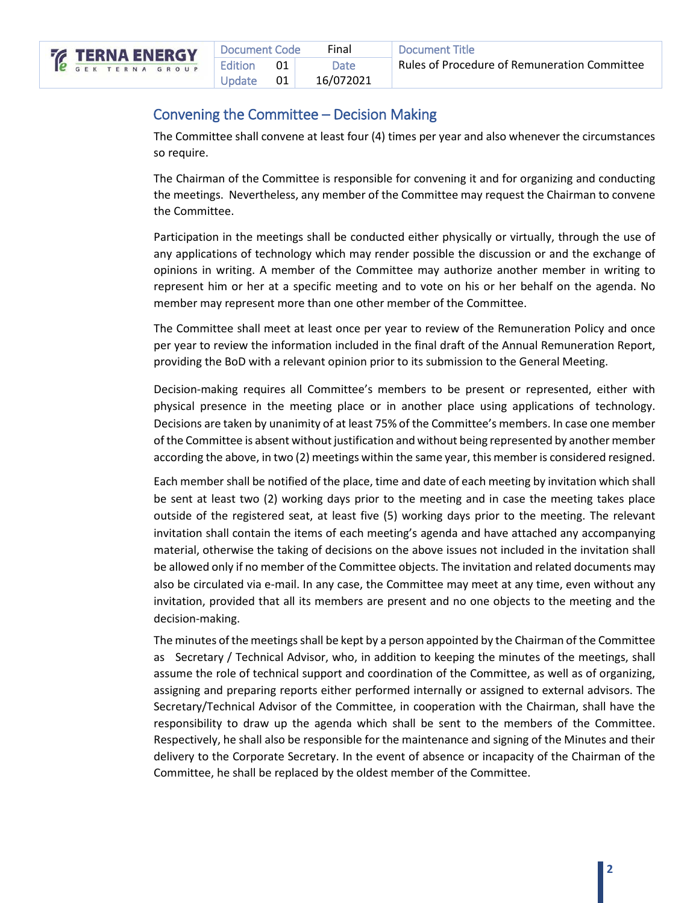

| Document Code<br>Final |                   |     | Document Title |                                              |
|------------------------|-------------------|-----|----------------|----------------------------------------------|
|                        | Edition           | O1. | Date           | Rules of Procedure of Remuneration Committee |
|                        | $\vert$ Update 01 |     | 16/072021      |                                              |

#### <span id="page-3-0"></span>Convening the Committee – Decision Making

The Committee shall convene at least four (4) times per year and also whenever the circumstances so require.

The Chairman of the Committee is responsible for convening it and for organizing and conducting the meetings. Nevertheless, any member of the Committee may request the Chairman to convene the Committee.

Participation in the meetings shall be conducted either physically or virtually, through the use of any applications of technology which may render possible the discussion or and the exchange of opinions in writing. A member of the Committee may authorize another member in writing to represent him or her at a specific meeting and to vote on his or her behalf on the agenda. No member may represent more than one other member of the Committee.

The Committee shall meet at least once per year to review of the Remuneration Policy and once per year to review the information included in the final draft of the Annual Remuneration Report, providing the BoD with a relevant opinion prior to its submission to the General Meeting.

Decision-making requires all Committee's members to be present or represented, either with physical presence in the meeting place or in another place using applications of technology. Decisions are taken by unanimity of at least 75% of the Committee's members. In case one member of the Committee is absent without justification and without being represented by another member according the above, in two (2) meetings within the same year, this member is considered resigned.

Each member shall be notified of the place, time and date of each meeting by invitation which shall be sent at least two (2) working days prior to the meeting and in case the meeting takes place outside of the registered seat, at least five (5) working days prior to the meeting. The relevant invitation shall contain the items of each meeting's agenda and have attached any accompanying material, otherwise the taking of decisions on the above issues not included in the invitation shall be allowed only if no member of the Committee objects. The invitation and related documents may also be circulated via e-mail. In any case, the Committee may meet at any time, even without any invitation, provided that all its members are present and no one objects to the meeting and the decision-making.

The minutes of the meetings shall be kept by a person appointed by the Chairman of the Committee as Secretary / Technical Advisor, who, in addition to keeping the minutes of the meetings, shall assume the role of technical support and coordination of the Committee, as well as of organizing, assigning and preparing reports either performed internally or assigned to external advisors. The Secretary/Technical Advisor of the Committee, in cooperation with the Chairman, shall have the responsibility to draw up the agenda which shall be sent to the members of the Committee. Respectively, he shall also be responsible for the maintenance and signing of the Minutes and their delivery to the Corporate Secretary. In the event of absence or incapacity of the Chairman of the Committee, he shall be replaced by the oldest member of the Committee.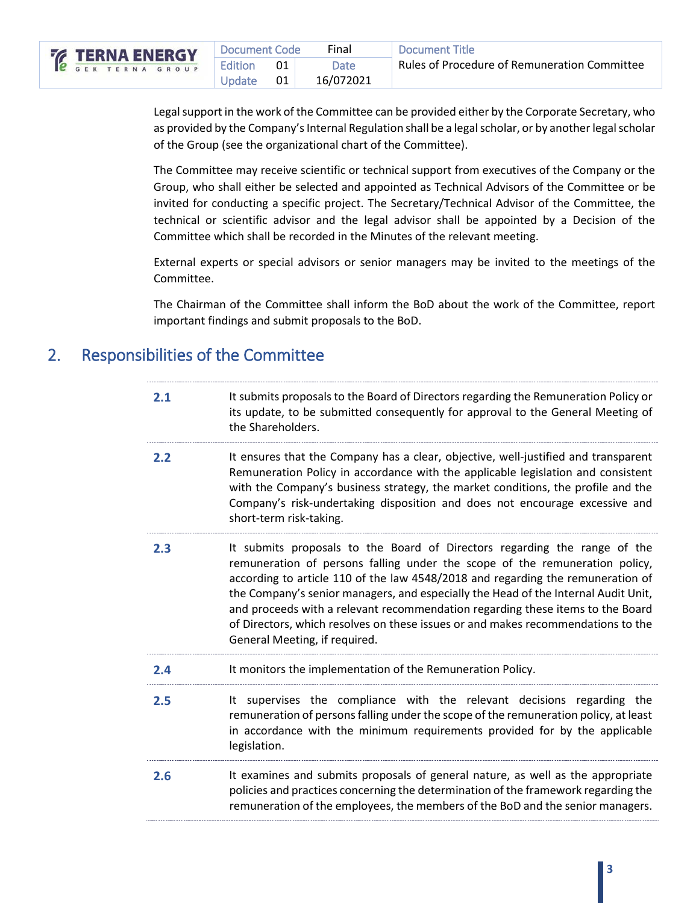|                    | Document Code |    | Final     | Document Title                                      |
|--------------------|---------------|----|-----------|-----------------------------------------------------|
| <b>ERNA ENERGY</b> | Edition       | 01 | Date      | <b>Rules of Procedure of Remuneration Committee</b> |
|                    | Update        | 01 | 16/072021 |                                                     |

Legal support in the work of the Committee can be provided either by the Corporate Secretary, who as provided by the Company's Internal Regulation shall be a legal scholar, or by another legal scholar of the Group (see the organizational chart of the Committee).

The Committee may receive scientific or technical support from executives of the Company or the Group, who shall either be selected and appointed as Technical Advisors of the Committee or be invited for conducting a specific project. The Secretary/Technical Advisor of the Committee, the technical or scientific advisor and the legal advisor shall be appointed by a Decision of the Committee which shall be recorded in the Minutes of the relevant meeting.

External experts or special advisors or senior managers may be invited to the meetings of the Committee.

The Chairman of the Committee shall inform the BoD about the work of the Committee, report important findings and submit proposals to the BoD.

# <span id="page-4-0"></span>2. Responsibilities of the Committee

| 2.1 | It submits proposals to the Board of Directors regarding the Remuneration Policy or<br>its update, to be submitted consequently for approval to the General Meeting of<br>the Shareholders.                                                                                                                                                                                                                                                                                                                                              |
|-----|------------------------------------------------------------------------------------------------------------------------------------------------------------------------------------------------------------------------------------------------------------------------------------------------------------------------------------------------------------------------------------------------------------------------------------------------------------------------------------------------------------------------------------------|
| 2.2 | It ensures that the Company has a clear, objective, well-justified and transparent<br>Remuneration Policy in accordance with the applicable legislation and consistent<br>with the Company's business strategy, the market conditions, the profile and the<br>Company's risk-undertaking disposition and does not encourage excessive and<br>short-term risk-taking.                                                                                                                                                                     |
| 2.3 | It submits proposals to the Board of Directors regarding the range of the<br>remuneration of persons falling under the scope of the remuneration policy,<br>according to article 110 of the law 4548/2018 and regarding the remuneration of<br>the Company's senior managers, and especially the Head of the Internal Audit Unit,<br>and proceeds with a relevant recommendation regarding these items to the Board<br>of Directors, which resolves on these issues or and makes recommendations to the<br>General Meeting, if required. |
| 2.4 | It monitors the implementation of the Remuneration Policy.                                                                                                                                                                                                                                                                                                                                                                                                                                                                               |
| 2.5 | It supervises the compliance with the relevant decisions regarding the<br>remuneration of persons falling under the scope of the remuneration policy, at least<br>in accordance with the minimum requirements provided for by the applicable<br>legislation.                                                                                                                                                                                                                                                                             |
| 2.6 | It examines and submits proposals of general nature, as well as the appropriate<br>policies and practices concerning the determination of the framework regarding the<br>remuneration of the employees, the members of the BoD and the senior managers.                                                                                                                                                                                                                                                                                  |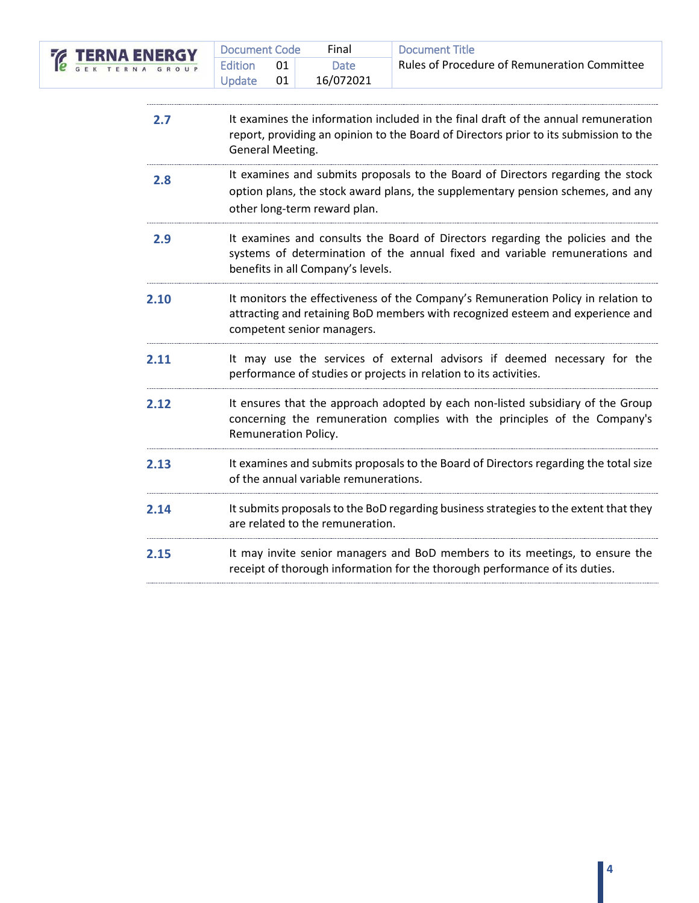

| <b>NERGY</b> | Document Code |    | Final     | <b>Document Title</b>                        |  |
|--------------|---------------|----|-----------|----------------------------------------------|--|
| GROUP        | Edition       |    | Date      | Rules of Procedure of Remuneration Committee |  |
|              | Update        | 01 | 16/072021 |                                              |  |

| 2.7 | It examines the information included in the final draft of the annual remuneration<br>report, providing an opinion to the Board of Directors prior to its submission to the<br>General Meeting. |
|-----|-------------------------------------------------------------------------------------------------------------------------------------------------------------------------------------------------|
|     |                                                                                                                                                                                                 |

- **2.8** It examines and submits proposals to the Board of Directors regarding the stock option plans, the stock award plans, the supplementary pension schemes, and any other long-term reward plan.
- **2.9** It examines and consults the Board of Directors regarding the policies and the systems of determination of the annual fixed and variable remunerations and benefits in all Company's levels.
- **2.10** It monitors the effectiveness of the Company's Remuneration Policy in relation to attracting and retaining BoD members with recognized esteem and experience and competent senior managers.
- **2.11** It may use the services of external advisors if deemed necessary for the performance of studies or projects in relation to its activities.
- **2.12** It ensures that the approach adopted by each non-listed subsidiary of the Group concerning the remuneration complies with the principles of the Company's Remuneration Policy.
- **2.13** It examines and submits proposals to the Board of Directors regarding the total size of the annual variable remunerations.
- **2.14** Itsubmits proposals to the BoD regarding business strategies to the extent that they are related to the remuneration.
- **2.15** It may invite senior managers and BoD members to its meetings, to ensure the receipt of thorough information for the thorough performance of its duties.